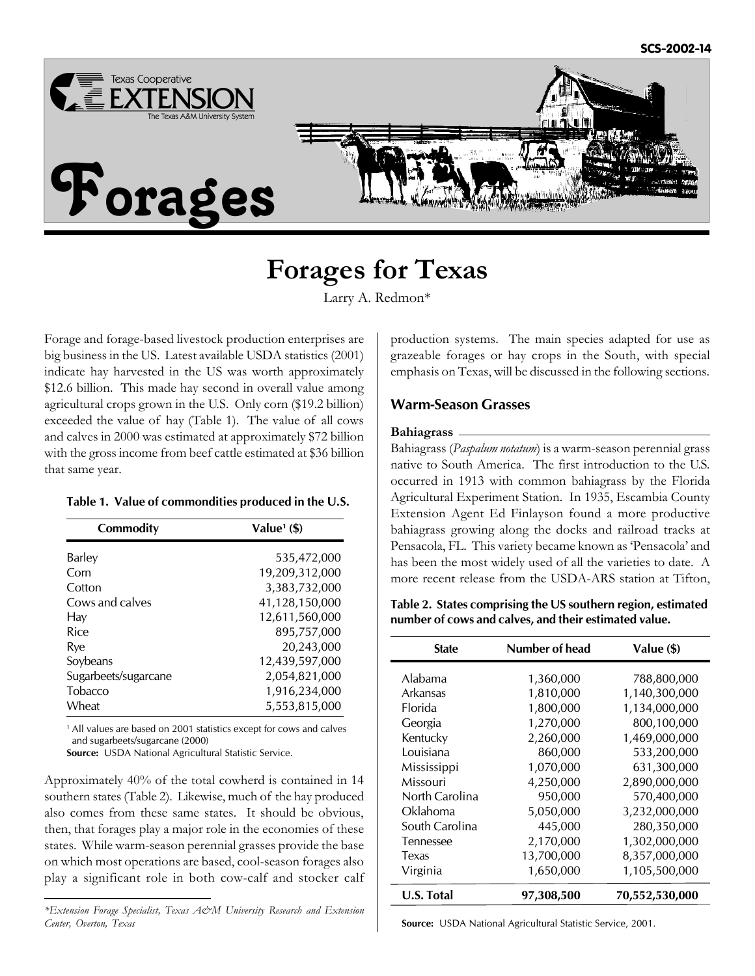

# **Forages for Texas**

Larry A. Redmon\*

Forage and forage-based livestock production enterprises are big business in the US. Latest available USDA statistics (2001) indicate hay harvested in the US was worth approximately \$12.6 billion. This made hay second in overall value among agricultural crops grown in the U.S. Only corn (\$19.2 billion) exceeded the value of hay (Table 1). The value of all cows and calves in 2000 was estimated at approximately \$72 billion with the gross income from beef cattle estimated at \$36 billion that same year.

#### **Table 1. Value of commondities produced in the U.S.**

| Commodity            | Value <sup>1</sup> $($ \$) |
|----------------------|----------------------------|
| Barley               | 535,472,000                |
| Corn                 | 19,209,312,000             |
| Cotton               | 3,383,732,000              |
| Cows and calves      | 41,128,150,000             |
| Hay                  | 12,611,560,000             |
| Rice                 | 895,757,000                |
| Rve                  | 20,243,000                 |
| Soybeans             | 12,439,597,000             |
| Sugarbeets/sugarcane | 2,054,821,000              |
| Tobacco              | 1,916,234,000              |
| Wheat                | 5,553,815,000              |

<sup>1</sup> All values are based on 2001 statistics except for cows and calves and sugarbeets/sugarcane (2000)

**Source:** USDA National Agricultural Statistic Service.

Approximately 40% of the total cowherd is contained in 14 southern states (Table 2). Likewise, much of the hay produced also comes from these same states. It should be obvious, then, that forages play a major role in the economies of these states. While warm-season perennial grasses provide the base on which most operations are based, cool-season forages also play a significant role in both cow-calf and stocker calf

production systems. The main species adapted for use as grazeable forages or hay crops in the South, with special emphasis on Texas, will be discussed in the following sections.

# **Warm-Season Grasses**

#### **Bahiagrass**

Bahiagrass (*Paspalum notatum*) is a warm-season perennial grass native to South America. The first introduction to the U.S. occurred in 1913 with common bahiagrass by the Florida Agricultural Experiment Station. In 1935, Escambia County Extension Agent Ed Finlayson found a more productive bahiagrass growing along the docks and railroad tracks at Pensacola, FL. This variety became known as 'Pensacola' and has been the most widely used of all the varieties to date. A more recent release from the USDA-ARS station at Tifton,

**Table 2. States comprising the US southern region, estimated number of cows and calves, and their estimated value.**

| <b>State</b>      | Number of head | Value (\$)     |
|-------------------|----------------|----------------|
| Alabama           | 1,360,000      | 788,800,000    |
| Arkansas          | 1,810,000      | 1,140,300,000  |
| <b>Florida</b>    | 1,800,000      | 1,134,000,000  |
| Georgia           | 1,270,000      | 800,100,000    |
| Kentucky          | 2,260,000      | 1,469,000,000  |
| Louisiana         | 860,000        | 533,200,000    |
| Mississippi       | 1,070,000      | 631,300,000    |
| Missouri          | 4,250,000      | 2,890,000,000  |
| North Carolina    | 950,000        | 570,400,000    |
| Oklahoma          | 5,050,000      | 3,232,000,000  |
| South Carolina    | 445,000        | 280,350,000    |
| Tennessee         | 2,170,000      | 1,302,000,000  |
| Texas             | 13,700,000     | 8,357,000,000  |
| Virginia          | 1,650,000      | 1,105,500,000  |
| <b>U.S. Total</b> | 97,308,500     | 70,552,530,000 |

**Source:** USDA National Agricultural Statistic Service, 2001.

*<sup>\*</sup>Extension Forage Specialist, Texas A&M University Research and Extension Center, Overton, Texas*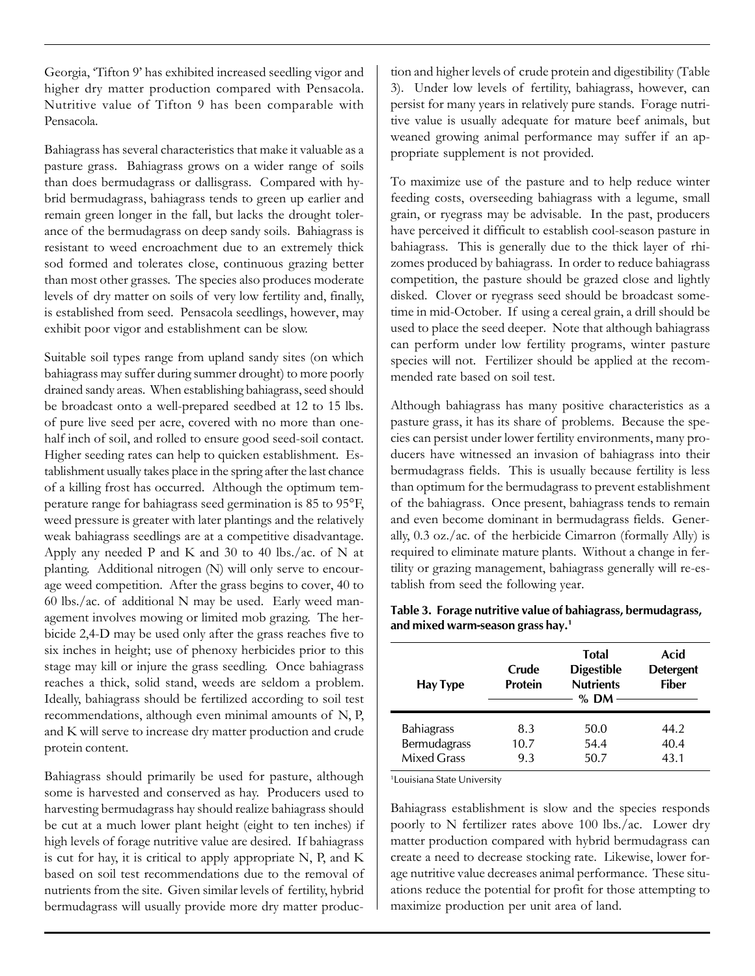Georgia, 'Tifton 9' has exhibited increased seedling vigor and higher dry matter production compared with Pensacola. Nutritive value of Tifton 9 has been comparable with Pensacola.

Bahiagrass has several characteristics that make it valuable as a pasture grass. Bahiagrass grows on a wider range of soils than does bermudagrass or dallisgrass. Compared with hybrid bermudagrass, bahiagrass tends to green up earlier and remain green longer in the fall, but lacks the drought tolerance of the bermudagrass on deep sandy soils. Bahiagrass is resistant to weed encroachment due to an extremely thick sod formed and tolerates close, continuous grazing better than most other grasses. The species also produces moderate levels of dry matter on soils of very low fertility and, finally, is established from seed. Pensacola seedlings, however, may exhibit poor vigor and establishment can be slow.

Suitable soil types range from upland sandy sites (on which bahiagrass may suffer during summer drought) to more poorly drained sandy areas. When establishing bahiagrass, seed should be broadcast onto a well-prepared seedbed at 12 to 15 lbs. of pure live seed per acre, covered with no more than onehalf inch of soil, and rolled to ensure good seed-soil contact. Higher seeding rates can help to quicken establishment. Establishment usually takes place in the spring after the last chance of a killing frost has occurred. Although the optimum temperature range for bahiagrass seed germination is 85 to 95°F, weed pressure is greater with later plantings and the relatively weak bahiagrass seedlings are at a competitive disadvantage. Apply any needed P and K and 30 to 40 lbs./ac. of N at planting. Additional nitrogen (N) will only serve to encourage weed competition. After the grass begins to cover, 40 to 60 lbs./ac. of additional N may be used. Early weed management involves mowing or limited mob grazing. The herbicide 2,4-D may be used only after the grass reaches five to six inches in height; use of phenoxy herbicides prior to this stage may kill or injure the grass seedling. Once bahiagrass reaches a thick, solid stand, weeds are seldom a problem. Ideally, bahiagrass should be fertilized according to soil test recommendations, although even minimal amounts of N, P, and K will serve to increase dry matter production and crude protein content.

Bahiagrass should primarily be used for pasture, although some is harvested and conserved as hay. Producers used to harvesting bermudagrass hay should realize bahiagrass should be cut at a much lower plant height (eight to ten inches) if high levels of forage nutritive value are desired. If bahiagrass is cut for hay, it is critical to apply appropriate N, P, and K based on soil test recommendations due to the removal of nutrients from the site. Given similar levels of fertility, hybrid bermudagrass will usually provide more dry matter produc-

tion and higher levels of crude protein and digestibility (Table 3). Under low levels of fertility, bahiagrass, however, can persist for many years in relatively pure stands. Forage nutritive value is usually adequate for mature beef animals, but weaned growing animal performance may suffer if an appropriate supplement is not provided.

To maximize use of the pasture and to help reduce winter feeding costs, overseeding bahiagrass with a legume, small grain, or ryegrass may be advisable. In the past, producers have perceived it difficult to establish cool-season pasture in bahiagrass. This is generally due to the thick layer of rhizomes produced by bahiagrass. In order to reduce bahiagrass competition, the pasture should be grazed close and lightly disked. Clover or ryegrass seed should be broadcast sometime in mid-October. If using a cereal grain, a drill should be used to place the seed deeper. Note that although bahiagrass can perform under low fertility programs, winter pasture species will not. Fertilizer should be applied at the recommended rate based on soil test.

Although bahiagrass has many positive characteristics as a pasture grass, it has its share of problems. Because the species can persist under lower fertility environments, many producers have witnessed an invasion of bahiagrass into their bermudagrass fields. This is usually because fertility is less than optimum for the bermudagrass to prevent establishment of the bahiagrass. Once present, bahiagrass tends to remain and even become dominant in bermudagrass fields. Generally, 0.3 oz./ac. of the herbicide Cimarron (formally Ally) is required to eliminate mature plants. Without a change in fertility or grazing management, bahiagrass generally will re-establish from seed the following year.

| Hay Type                           | Crude<br><b>Protein</b> | <b>Total</b><br><b>Digestible</b><br><b>Nutrients</b><br>$%$ DM | Acid<br><b>Detergent</b><br><b>Fiber</b> |
|------------------------------------|-------------------------|-----------------------------------------------------------------|------------------------------------------|
| <b>Bahiagrass</b>                  | 8.3                     | 50.0                                                            | 44.2                                     |
| Bermudagrass<br><b>Mixed Grass</b> | 10.7<br>9.3             | 54.4<br>50.7                                                    | 40.4<br>43.1                             |

**Table 3. Forage nutritive value of bahiagrass, bermudagrass, and mixed warm-season grass hay.<sup>1</sup>**

<sup>1</sup>Louisiana State University

Bahiagrass establishment is slow and the species responds poorly to N fertilizer rates above 100 lbs./ac. Lower dry matter production compared with hybrid bermudagrass can create a need to decrease stocking rate. Likewise, lower forage nutritive value decreases animal performance. These situations reduce the potential for profit for those attempting to maximize production per unit area of land.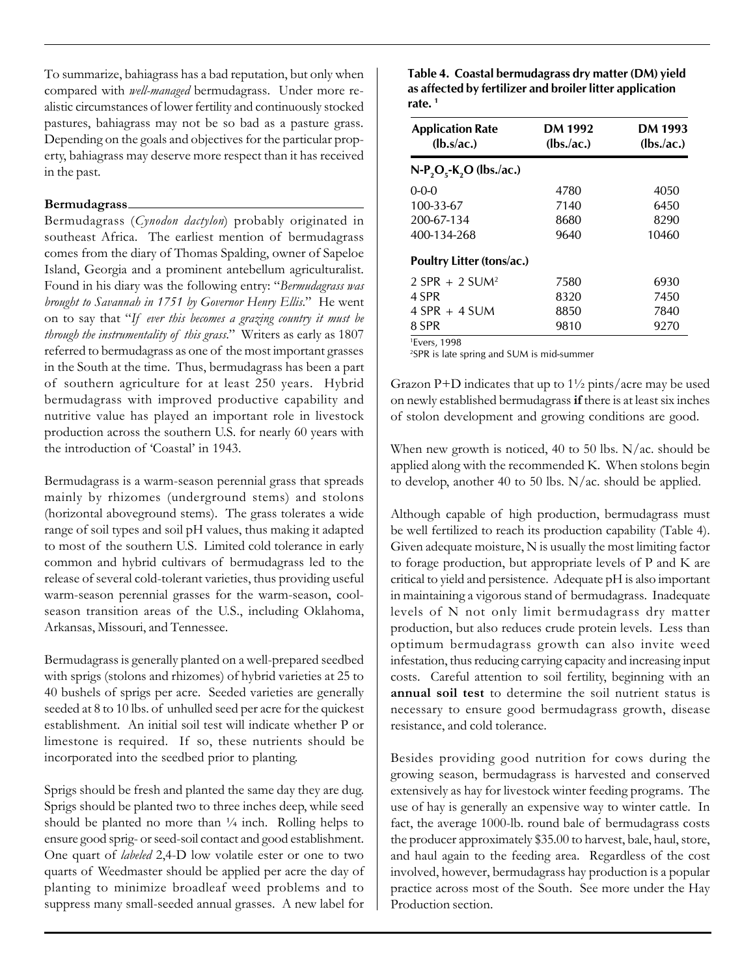To summarize, bahiagrass has a bad reputation, but only when compared with *well-managed* bermudagrass. Under more realistic circumstances of lower fertility and continuously stocked pastures, bahiagrass may not be so bad as a pasture grass. Depending on the goals and objectives for the particular property, bahiagrass may deserve more respect than it has received in the past.

#### **Bermudagrass**

Bermudagrass (*Cynodon dactylon*) probably originated in southeast Africa. The earliest mention of bermudagrass comes from the diary of Thomas Spalding, owner of Sapeloe Island, Georgia and a prominent antebellum agriculturalist. Found in his diary was the following entry: "*Bermudagrass was brought to Savannah in 1751 by Governor Henry Ellis*." He went on to say that "*If ever this becomes a grazing country it must be through the instrumentality of this grass*." Writers as early as 1807 referred to bermudagrass as one of the most important grasses in the South at the time. Thus, bermudagrass has been a part of southern agriculture for at least 250 years. Hybrid bermudagrass with improved productive capability and nutritive value has played an important role in livestock production across the southern U.S. for nearly 60 years with the introduction of 'Coastal' in 1943.

Bermudagrass is a warm-season perennial grass that spreads mainly by rhizomes (underground stems) and stolons (horizontal aboveground stems). The grass tolerates a wide range of soil types and soil pH values, thus making it adapted to most of the southern U.S. Limited cold tolerance in early common and hybrid cultivars of bermudagrass led to the release of several cold-tolerant varieties, thus providing useful warm-season perennial grasses for the warm-season, coolseason transition areas of the U.S., including Oklahoma, Arkansas, Missouri, and Tennessee.

Bermudagrass is generally planted on a well-prepared seedbed with sprigs (stolons and rhizomes) of hybrid varieties at 25 to 40 bushels of sprigs per acre. Seeded varieties are generally seeded at 8 to 10 lbs. of unhulled seed per acre for the quickest establishment. An initial soil test will indicate whether P or limestone is required. If so, these nutrients should be incorporated into the seedbed prior to planting.

Sprigs should be fresh and planted the same day they are dug. Sprigs should be planted two to three inches deep, while seed should be planted no more than  $\frac{1}{4}$  inch. Rolling helps to ensure good sprig- or seed-soil contact and good establishment. One quart of *labeled* 2,4-D low volatile ester or one to two quarts of Weedmaster should be applied per acre the day of planting to minimize broadleaf weed problems and to suppress many small-seeded annual grasses. A new label for **Table 4. Coastal bermudagrass dry matter (DM) yield as affected by fertilizer and broiler litter application rate. <sup>1</sup>**

| <b>Application Rate</b><br>$(lb.(ac.)$ | DM 1992<br>(lbs/ac.) | DM 1993<br>$lbs$ <i>(lbs./ac.)</i> |  |
|----------------------------------------|----------------------|------------------------------------|--|
| $N-P_2O_5-K_2O$ (lbs./ac.)             |                      |                                    |  |
| $0 - 0 - 0$                            | 4780                 | 4050                               |  |
| 100-33-67                              | 7140                 | 6450                               |  |
| 200-67-134                             | 8680                 | 8290                               |  |
| 400-134-268                            | 9640                 | 10460                              |  |
| Poultry Litter (tons/ac.)              |                      |                                    |  |
| $2$ SPR + 2 SUM <sup>2</sup>           | 7580                 | 6930                               |  |
| 4 SPR                                  | 8320                 | 7450                               |  |
| $4$ SPR + 4 SUM                        | 8850                 | 7840                               |  |
| 8 SPR                                  | 9810                 | 9270                               |  |
| <sup>1</sup> Evers, 1998               |                      |                                    |  |

2SPR is late spring and SUM is mid-summer

Grazon P+D indicates that up to  $1\frac{1}{2}$  pints/acre may be used on newly established bermudagrass **if** there is at least six inches of stolon development and growing conditions are good.

When new growth is noticed, 40 to 50 lbs. N/ac. should be applied along with the recommended K. When stolons begin to develop, another 40 to 50 lbs. N/ac. should be applied.

Although capable of high production, bermudagrass must be well fertilized to reach its production capability (Table 4). Given adequate moisture, N is usually the most limiting factor to forage production, but appropriate levels of P and K are critical to yield and persistence. Adequate pH is also important in maintaining a vigorous stand of bermudagrass. Inadequate levels of N not only limit bermudagrass dry matter production, but also reduces crude protein levels. Less than optimum bermudagrass growth can also invite weed infestation, thus reducing carrying capacity and increasing input costs. Careful attention to soil fertility, beginning with an **annual soil test** to determine the soil nutrient status is necessary to ensure good bermudagrass growth, disease resistance, and cold tolerance.

Besides providing good nutrition for cows during the growing season, bermudagrass is harvested and conserved extensively as hay for livestock winter feeding programs. The use of hay is generally an expensive way to winter cattle. In fact, the average 1000-lb. round bale of bermudagrass costs the producer approximately \$35.00 to harvest, bale, haul, store, and haul again to the feeding area. Regardless of the cost involved, however, bermudagrass hay production is a popular practice across most of the South. See more under the Hay Production section.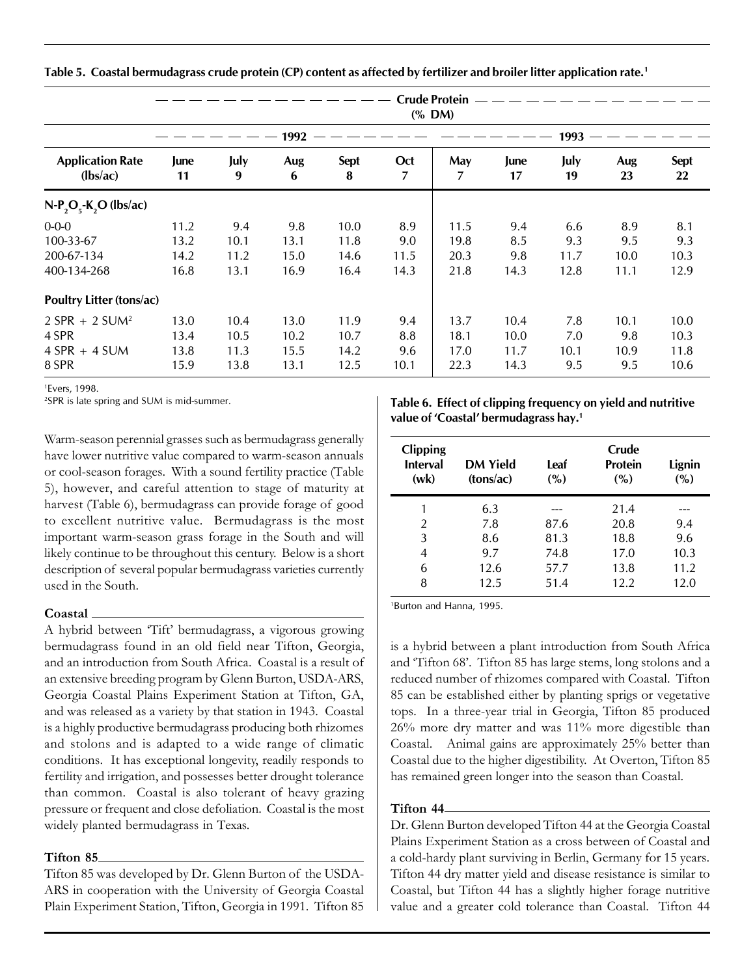|  | Table 5. Coastal bermudagrass crude protein (CP) content as affected by fertilizer and broiler litter application rate. <sup>1</sup> |
|--|--------------------------------------------------------------------------------------------------------------------------------------|
|  |                                                                                                                                      |

|                                       |            |           |                |                  |          | <b>Crude Protein</b><br>(% DM) |            |            |           |                   |
|---------------------------------------|------------|-----------|----------------|------------------|----------|--------------------------------|------------|------------|-----------|-------------------|
|                                       |            |           | 1992<br>$\sim$ |                  |          |                                |            | 1993       |           |                   |
| <b>Application Rate</b><br>$(lbs/ac)$ | June<br>11 | July<br>9 | Aug<br>6       | <b>Sept</b><br>8 | Oct<br>7 | May<br>7                       | June<br>17 | July<br>19 | Aug<br>23 | <b>Sept</b><br>22 |
| $N-P_2O_5-K_2O$ (lbs/ac)              |            |           |                |                  |          |                                |            |            |           |                   |
| $0 - 0 - 0$                           | 11.2       | 9.4       | 9.8            | 10.0             | 8.9      | 11.5                           | 9.4        | 6.6        | 8.9       | 8.1               |
| 100-33-67                             | 13.2       | 10.1      | 13.1           | 11.8             | 9.0      | 19.8                           | 8.5        | 9.3        | 9.5       | 9.3               |
| 200-67-134                            | 14.2       | 11.2      | 15.0           | 14.6             | 11.5     | 20.3                           | 9.8        | 11.7       | 10.0      | 10.3              |
| 400-134-268                           | 16.8       | 13.1      | 16.9           | 16.4             | 14.3     | 21.8                           | 14.3       | 12.8       | 11.1      | 12.9              |
| Poultry Litter (tons/ac)              |            |           |                |                  |          |                                |            |            |           |                   |
| 2 SPR + 2 SUM <sup>2</sup>            | 13.0       | 10.4      | 13.0           | 11.9             | 9.4      | 13.7                           | 10.4       | 7.8        | 10.1      | 10.0              |
| 4 SPR                                 | 13.4       | 10.5      | 10.2           | 10.7             | 8.8      | 18.1                           | 10.0       | 7.0        | 9.8       | 10.3              |
| $4$ SPR + 4 SUM                       | 13.8       | 11.3      | 15.5           | 14.2             | 9.6      | 17.0                           | 11.7       | 10.1       | 10.9      | 11.8              |
| 8 SPR                                 | 15.9       | 13.8      | 13.1           | 12.5             | 10.1     | 22.3                           | 14.3       | 9.5        | 9.5       | 10.6              |

<sup>1</sup>Evers, 1998.

<sup>2</sup>SPR is late spring and SUM is mid-summer.

Warm-season perennial grasses such as bermudagrass generally have lower nutritive value compared to warm-season annuals or cool-season forages. With a sound fertility practice (Table 5), however, and careful attention to stage of maturity at harvest (Table 6), bermudagrass can provide forage of good to excellent nutritive value. Bermudagrass is the most important warm-season grass forage in the South and will likely continue to be throughout this century. Below is a short description of several popular bermudagrass varieties currently used in the South.

#### **Coastal**

A hybrid between 'Tift' bermudagrass, a vigorous growing bermudagrass found in an old field near Tifton, Georgia, and an introduction from South Africa. Coastal is a result of an extensive breeding program by Glenn Burton, USDA-ARS, Georgia Coastal Plains Experiment Station at Tifton, GA, and was released as a variety by that station in 1943. Coastal is a highly productive bermudagrass producing both rhizomes and stolons and is adapted to a wide range of climatic conditions. It has exceptional longevity, readily responds to fertility and irrigation, and possesses better drought tolerance than common. Coastal is also tolerant of heavy grazing pressure or frequent and close defoliation. Coastal is the most widely planted bermudagrass in Texas.

#### **Tifton 85**

Tifton 85 was developed by Dr. Glenn Burton of the USDA-ARS in cooperation with the University of Georgia Coastal Plain Experiment Station, Tifton, Georgia in 1991. Tifton 85

**Table 6. Effect of clipping frequency on yield and nutritive value of 'Coastal' bermudagrass hay.<sup>1</sup>**

| <b>Clipping</b><br><b>Interval</b><br>(wk) | DM Yield<br>(tons/ac) | Leaf<br>(%) | Crude<br><b>Protein</b><br>(%) | Lignin<br>(%) |
|--------------------------------------------|-----------------------|-------------|--------------------------------|---------------|
|                                            | 6.3                   |             | 21.4                           |               |
| 2                                          | 7.8                   | 87.6        | 20.8                           | 9.4           |
| 3                                          | 8.6                   | 81.3        | 18.8                           | 9.6           |
| 4                                          | 9.7                   | 74.8        | 17.0                           | 10.3          |
| 6                                          | 12.6                  | 57.7        | 13.8                           | 11.2          |
| 8                                          | 12.5                  | 51.4        | 12.2                           | 12.0          |

<sup>1</sup>Burton and Hanna, 1995.

is a hybrid between a plant introduction from South Africa and 'Tifton 68'. Tifton 85 has large stems, long stolons and a reduced number of rhizomes compared with Coastal. Tifton 85 can be established either by planting sprigs or vegetative tops. In a three-year trial in Georgia, Tifton 85 produced 26% more dry matter and was 11% more digestible than Coastal. Animal gains are approximately 25% better than Coastal due to the higher digestibility. At Overton, Tifton 85 has remained green longer into the season than Coastal.

#### **Tifton 44**

Dr. Glenn Burton developed Tifton 44 at the Georgia Coastal Plains Experiment Station as a cross between of Coastal and a cold-hardy plant surviving in Berlin, Germany for 15 years. Tifton 44 dry matter yield and disease resistance is similar to Coastal, but Tifton 44 has a slightly higher forage nutritive value and a greater cold tolerance than Coastal. Tifton 44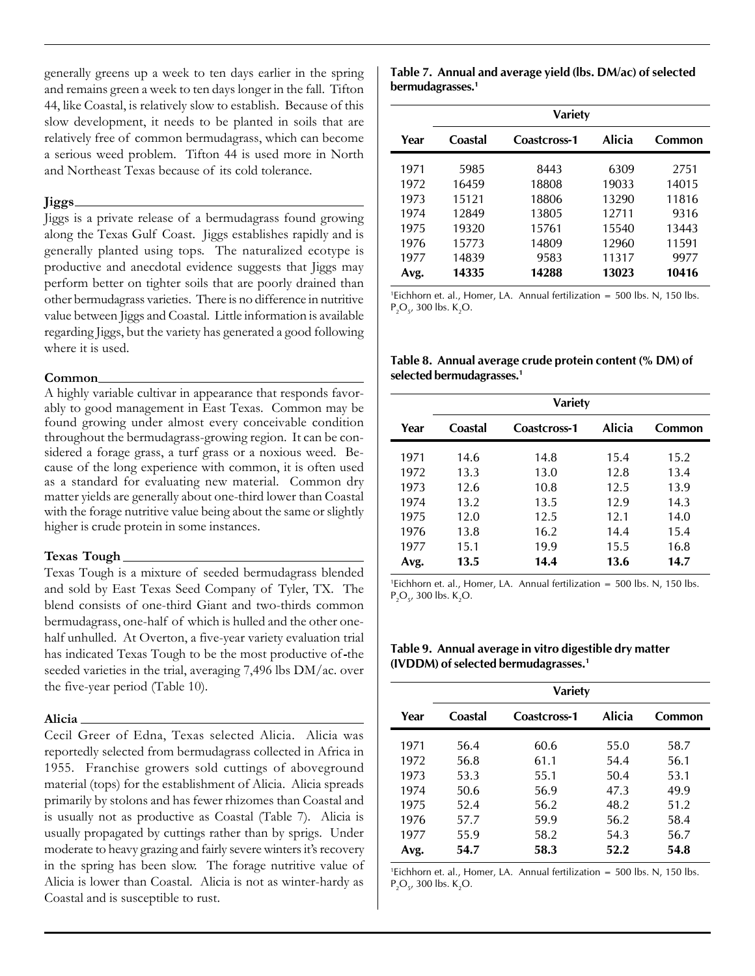generally greens up a week to ten days earlier in the spring and remains green a week to ten days longer in the fall. Tifton 44, like Coastal, is relatively slow to establish. Because of this slow development, it needs to be planted in soils that are relatively free of common bermudagrass, which can become a serious weed problem. Tifton 44 is used more in North and Northeast Texas because of its cold tolerance.

#### **Jiggs**

Jiggs is a private release of a bermudagrass found growing along the Texas Gulf Coast. Jiggs establishes rapidly and is generally planted using tops. The naturalized ecotype is productive and anecdotal evidence suggests that Jiggs may perform better on tighter soils that are poorly drained than other bermudagrass varieties. There is no difference in nutritive value between Jiggs and Coastal. Little information is available regarding Jiggs, but the variety has generated a good following where it is used.

#### **Common**

A highly variable cultivar in appearance that responds favorably to good management in East Texas. Common may be found growing under almost every conceivable condition throughout the bermudagrass-growing region. It can be considered a forage grass, a turf grass or a noxious weed. Because of the long experience with common, it is often used as a standard for evaluating new material. Common dry matter yields are generally about one-third lower than Coastal with the forage nutritive value being about the same or slightly higher is crude protein in some instances.

#### **Texas Tough**

Texas Tough is a mixture of seeded bermudagrass blended and sold by East Texas Seed Company of Tyler, TX. The blend consists of one-third Giant and two-thirds common bermudagrass, one-half of which is hulled and the other onehalf unhulled. At Overton, a five-year variety evaluation trial has indicated Texas Tough to be the most productive of the seeded varieties in the trial, averaging 7,496 lbs DM/ac. over the five-year period (Table 10).

#### **Alicia**

Cecil Greer of Edna, Texas selected Alicia. Alicia was reportedly selected from bermudagrass collected in Africa in 1955. Franchise growers sold cuttings of aboveground material (tops) for the establishment of Alicia. Alicia spreads primarily by stolons and has fewer rhizomes than Coastal and is usually not as productive as Coastal (Table 7). Alicia is usually propagated by cuttings rather than by sprigs. Under moderate to heavy grazing and fairly severe winters it's recovery in the spring has been slow. The forage nutritive value of Alicia is lower than Coastal. Alicia is not as winter-hardy as Coastal and is susceptible to rust.

|                              | Table 7. Annual and average yield (lbs. DM/ac) of selected |  |  |
|------------------------------|------------------------------------------------------------|--|--|
| bermudagrasses. <sup>1</sup> |                                                            |  |  |

|      | <b>Variety</b> |              |               |        |  |  |
|------|----------------|--------------|---------------|--------|--|--|
| Year | Coastal        | Coastcross-1 | <b>Alicia</b> | Common |  |  |
| 1971 | 5985           | 8443         | 6309          | 2751   |  |  |
| 1972 | 16459          | 18808        | 19033         | 14015  |  |  |
| 1973 | 15121          | 18806        | 13290         | 11816  |  |  |
| 1974 | 12849          | 13805        | 12711         | 9316   |  |  |
| 1975 | 19320          | 15761        | 15540         | 13443  |  |  |
| 1976 | 15773          | 14809        | 12960         | 11591  |  |  |
| 1977 | 14839          | 9583         | 11317         | 9977   |  |  |
| Avg. | 14335          | 14288        | 13023         | 10416  |  |  |

<sup>1</sup>Eichhorn et. al., Homer, LA. Annual fertilization = 500 lbs. N, 150 lbs.  $P_2O_5$ , 300 lbs. K<sub>2</sub>O.

**Table 8. Annual average crude protein content (% DM) of selected bermudagrasses.<sup>1</sup>**

|      | <b>Variety</b> |              |               |        |  |  |
|------|----------------|--------------|---------------|--------|--|--|
| Year | Coastal        | Coastcross-1 | <b>Alicia</b> | Common |  |  |
| 1971 | 14.6           | 14.8         | 15.4          | 15.2   |  |  |
| 1972 | 13.3           | 13.0         | 12.8          | 13.4   |  |  |
| 1973 | 12.6           | 10.8         | 12.5          | 13.9   |  |  |
| 1974 | 13.2           | 13.5         | 12.9          | 14.3   |  |  |
| 1975 | 12.0           | 12.5         | 12.1          | 14.0   |  |  |
| 1976 | 13.8           | 16.2         | 14.4          | 15.4   |  |  |
| 1977 | 15.1           | 19.9         | 15.5          | 16.8   |  |  |
| Avg. | 13.5           | 14.4         | 13.6          | 14.7   |  |  |

<sup>1</sup>Eichhorn et. al., Homer, LA. Annual fertilization = 500 lbs. N, 150 lbs.  $P_2O_5$ , 300 lbs. K<sub>2</sub>O.

**Table 9. Annual average in vitro digestible dry matter (IVDDM) of selected bermudagrasses.<sup>1</sup>**

|      | <b>Variety</b> |              |               |        |  |  |
|------|----------------|--------------|---------------|--------|--|--|
| Year | Coastal        | Coastcross-1 | <b>Alicia</b> | Common |  |  |
| 1971 | 56.4           | 60.6         | 55.0          | 58.7   |  |  |
| 1972 | 56.8           | 61.1         | 54.4          | 56.1   |  |  |
| 1973 | 53.3           | 55.1         | 50.4          | 53.1   |  |  |
| 1974 | 50.6           | 56.9         | 47.3          | 49.9   |  |  |
| 1975 | 52.4           | 56.2         | 48.2          | 51.2   |  |  |
| 1976 | 57.7           | 59.9         | 56.2          | 58.4   |  |  |
| 1977 | 55.9           | 58.2         | 54.3          | 56.7   |  |  |
| Avg. | 54.7           | 58.3         | 52.2          | 54.8   |  |  |

<sup>1</sup>Eichhorn et. al., Homer, LA. Annual fertilization = 500 lbs. N, 150 lbs.  $P_2O_5$ , 300 lbs. K<sub>2</sub>O.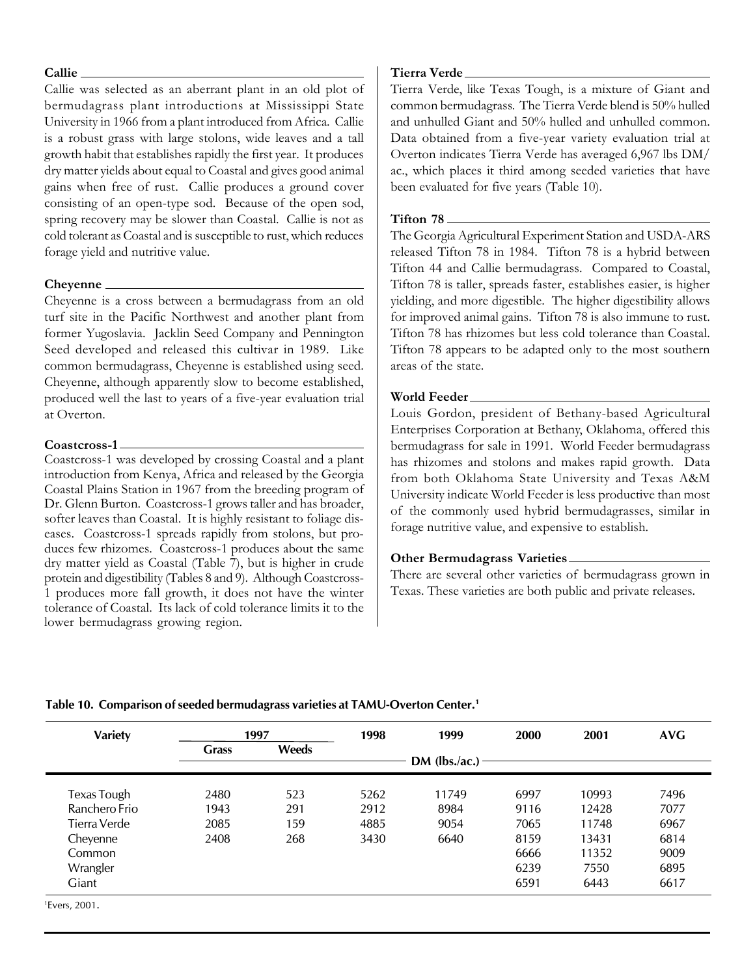#### Callie

Callie was selected as an aberrant plant in an old plot of bermudagrass plant introductions at Mississippi State University in 1966 from a plant introduced from Africa. Callie is a robust grass with large stolons, wide leaves and a tall growth habit that establishes rapidly the first year. It produces dry matter yields about equal to Coastal and gives good animal gains when free of rust. Callie produces a ground cover consisting of an open-type sod. Because of the open sod, spring recovery may be slower than Coastal. Callie is not as cold tolerant as Coastal and is susceptible to rust, which reduces forage yield and nutritive value.

#### **Cheyenne**

Cheyenne is a cross between a bermudagrass from an old turf site in the Pacific Northwest and another plant from former Yugoslavia. Jacklin Seed Company and Pennington Seed developed and released this cultivar in 1989. Like common bermudagrass, Cheyenne is established using seed. Cheyenne, although apparently slow to become established, produced well the last to years of a five-year evaluation trial at Overton.

#### **Coastcross-1**

Coastcross-1 was developed by crossing Coastal and a plant introduction from Kenya, Africa and released by the Georgia Coastal Plains Station in 1967 from the breeding program of Dr. Glenn Burton. Coastcross-1 grows taller and has broader, softer leaves than Coastal. It is highly resistant to foliage diseases. Coastcross-1 spreads rapidly from stolons, but produces few rhizomes. Coastcross-1 produces about the same dry matter yield as Coastal (Table 7), but is higher in crude protein and digestibility (Tables 8 and 9). Although Coastcross-1 produces more fall growth, it does not have the winter tolerance of Coastal. Its lack of cold tolerance limits it to the lower bermudagrass growing region.

#### **Tierra Verde**

Tierra Verde, like Texas Tough, is a mixture of Giant and common bermudagrass. The Tierra Verde blend is 50% hulled and unhulled Giant and 50% hulled and unhulled common. Data obtained from a five-year variety evaluation trial at Overton indicates Tierra Verde has averaged 6,967 lbs DM/ ac., which places it third among seeded varieties that have been evaluated for five years (Table 10).

#### **Tifton 78**

The Georgia Agricultural Experiment Station and USDA-ARS released Tifton 78 in 1984. Tifton 78 is a hybrid between Tifton 44 and Callie bermudagrass. Compared to Coastal, Tifton 78 is taller, spreads faster, establishes easier, is higher yielding, and more digestible. The higher digestibility allows for improved animal gains. Tifton 78 is also immune to rust. Tifton 78 has rhizomes but less cold tolerance than Coastal. Tifton 78 appears to be adapted only to the most southern areas of the state.

#### **World Feeder**

Louis Gordon, president of Bethany-based Agricultural Enterprises Corporation at Bethany, Oklahoma, offered this bermudagrass for sale in 1991. World Feeder bermudagrass has rhizomes and stolons and makes rapid growth. Data from both Oklahoma State University and Texas A&M University indicate World Feeder is less productive than most of the commonly used hybrid bermudagrasses, similar in forage nutritive value, and expensive to establish.

#### **Other Bermudagrass Varieties**

There are several other varieties of bermudagrass grown in Texas. These varieties are both public and private releases.

| <b>Variety</b>            |              | 1997  | 1998 | 1999            | 2000 | 2001  | <b>AVG</b> |
|---------------------------|--------------|-------|------|-----------------|------|-------|------------|
|                           | <b>Grass</b> | Weeds |      | $DM$ (lbs./ac.) |      |       |            |
|                           |              |       |      |                 |      |       |            |
| Texas Tough               | 2480         | 523   | 5262 | 11749           | 6997 | 10993 | 7496       |
| Ranchero Frio             | 1943         | 291   | 2912 | 8984            | 9116 | 12428 | 7077       |
| Tierra Verde              | 2085         | 159   | 4885 | 9054            | 7065 | 11748 | 6967       |
| Cheyenne                  | 2408         | 268   | 3430 | 6640            | 8159 | 13431 | 6814       |
| Common                    |              |       |      |                 | 6666 | 11352 | 9009       |
| Wrangler                  |              |       |      |                 | 6239 | 7550  | 6895       |
| Giant                     |              |       |      |                 | 6591 | 6443  | 6617       |
| <sup>1</sup> Fvers. 2001. |              |       |      |                 |      |       |            |

## **Table 10. Comparison of seeded bermudagrass varieties at TAMU-Overton Center.<sup>1</sup>**

<sup>1</sup>Evers, 2001.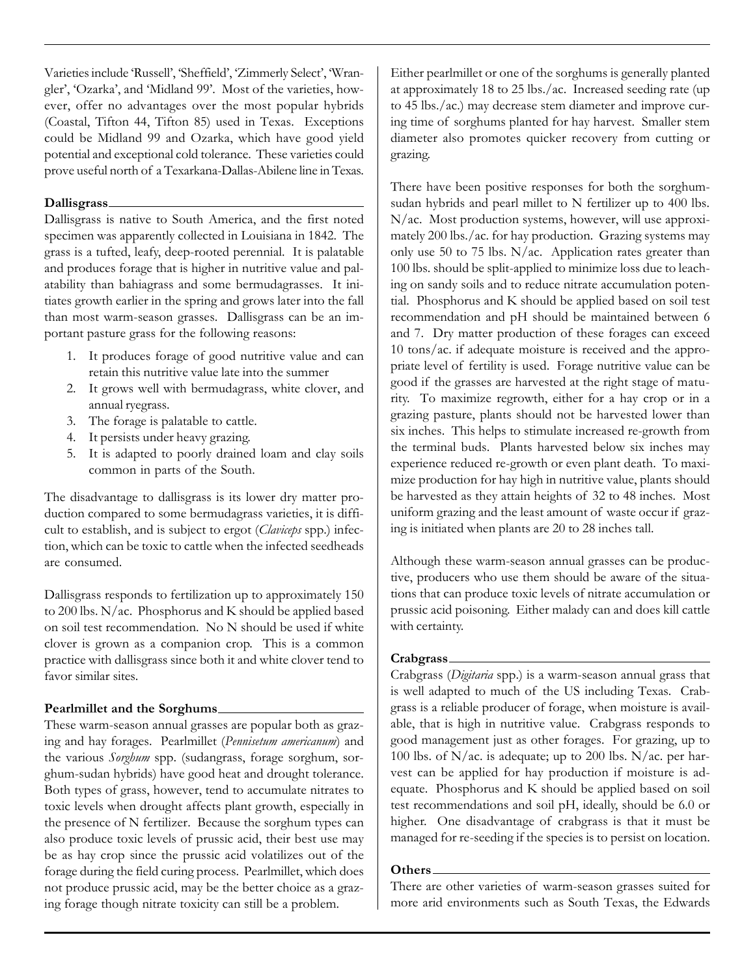Varieties include 'Russell', 'Sheffield', 'Zimmerly Select', 'Wrangler', 'Ozarka', and 'Midland 99'. Most of the varieties, however, offer no advantages over the most popular hybrids (Coastal, Tifton 44, Tifton 85) used in Texas. Exceptions could be Midland 99 and Ozarka, which have good yield potential and exceptional cold tolerance. These varieties could prove useful north of a Texarkana-Dallas-Abilene line in Texas.

#### **Dallisgrass**

Dallisgrass is native to South America, and the first noted specimen was apparently collected in Louisiana in 1842. The grass is a tufted, leafy, deep-rooted perennial. It is palatable and produces forage that is higher in nutritive value and palatability than bahiagrass and some bermudagrasses. It initiates growth earlier in the spring and grows later into the fall than most warm-season grasses. Dallisgrass can be an important pasture grass for the following reasons:

- 1. It produces forage of good nutritive value and can retain this nutritive value late into the summer
- 2. It grows well with bermudagrass, white clover, and annual ryegrass.
- 3. The forage is palatable to cattle.
- 4. It persists under heavy grazing.
- 5. It is adapted to poorly drained loam and clay soils common in parts of the South.

The disadvantage to dallisgrass is its lower dry matter production compared to some bermudagrass varieties, it is difficult to establish, and is subject to ergot (*Claviceps* spp.) infection, which can be toxic to cattle when the infected seedheads are consumed.

Dallisgrass responds to fertilization up to approximately 150 to 200 lbs. N/ac. Phosphorus and K should be applied based on soil test recommendation. No N should be used if white clover is grown as a companion crop. This is a common practice with dallisgrass since both it and white clover tend to favor similar sites.

## **Pearlmillet and the Sorghums**

These warm-season annual grasses are popular both as grazing and hay forages. Pearlmillet (*Pennisetum americanum*) and the various *Sorghum* spp. (sudangrass, forage sorghum, sorghum-sudan hybrids) have good heat and drought tolerance. Both types of grass, however, tend to accumulate nitrates to toxic levels when drought affects plant growth, especially in the presence of N fertilizer. Because the sorghum types can also produce toxic levels of prussic acid, their best use may be as hay crop since the prussic acid volatilizes out of the forage during the field curing process. Pearlmillet, which does not produce prussic acid, may be the better choice as a grazing forage though nitrate toxicity can still be a problem.

Either pearlmillet or one of the sorghums is generally planted at approximately 18 to 25 lbs./ac. Increased seeding rate (up to 45 lbs./ac.) may decrease stem diameter and improve curing time of sorghums planted for hay harvest. Smaller stem diameter also promotes quicker recovery from cutting or grazing.

There have been positive responses for both the sorghumsudan hybrids and pearl millet to N fertilizer up to 400 lbs. N/ac. Most production systems, however, will use approximately 200 lbs./ac. for hay production. Grazing systems may only use 50 to 75 lbs. N/ac. Application rates greater than 100 lbs. should be split-applied to minimize loss due to leaching on sandy soils and to reduce nitrate accumulation potential. Phosphorus and K should be applied based on soil test recommendation and pH should be maintained between 6 and 7. Dry matter production of these forages can exceed 10 tons/ac. if adequate moisture is received and the appropriate level of fertility is used. Forage nutritive value can be good if the grasses are harvested at the right stage of maturity. To maximize regrowth, either for a hay crop or in a grazing pasture, plants should not be harvested lower than six inches. This helps to stimulate increased re-growth from the terminal buds. Plants harvested below six inches may experience reduced re-growth or even plant death. To maximize production for hay high in nutritive value, plants should be harvested as they attain heights of 32 to 48 inches. Most uniform grazing and the least amount of waste occur if grazing is initiated when plants are 20 to 28 inches tall.

Although these warm-season annual grasses can be productive, producers who use them should be aware of the situations that can produce toxic levels of nitrate accumulation or prussic acid poisoning. Either malady can and does kill cattle with certainty.

## **Crabgrass**

Crabgrass (*Digitaria* spp.) is a warm-season annual grass that is well adapted to much of the US including Texas. Crabgrass is a reliable producer of forage, when moisture is available, that is high in nutritive value. Crabgrass responds to good management just as other forages. For grazing, up to 100 lbs. of N/ac. is adequate; up to 200 lbs. N/ac. per harvest can be applied for hay production if moisture is adequate. Phosphorus and K should be applied based on soil test recommendations and soil pH, ideally, should be 6.0 or higher. One disadvantage of crabgrass is that it must be managed for re-seeding if the species is to persist on location.

#### **Others**

There are other varieties of warm-season grasses suited for more arid environments such as South Texas, the Edwards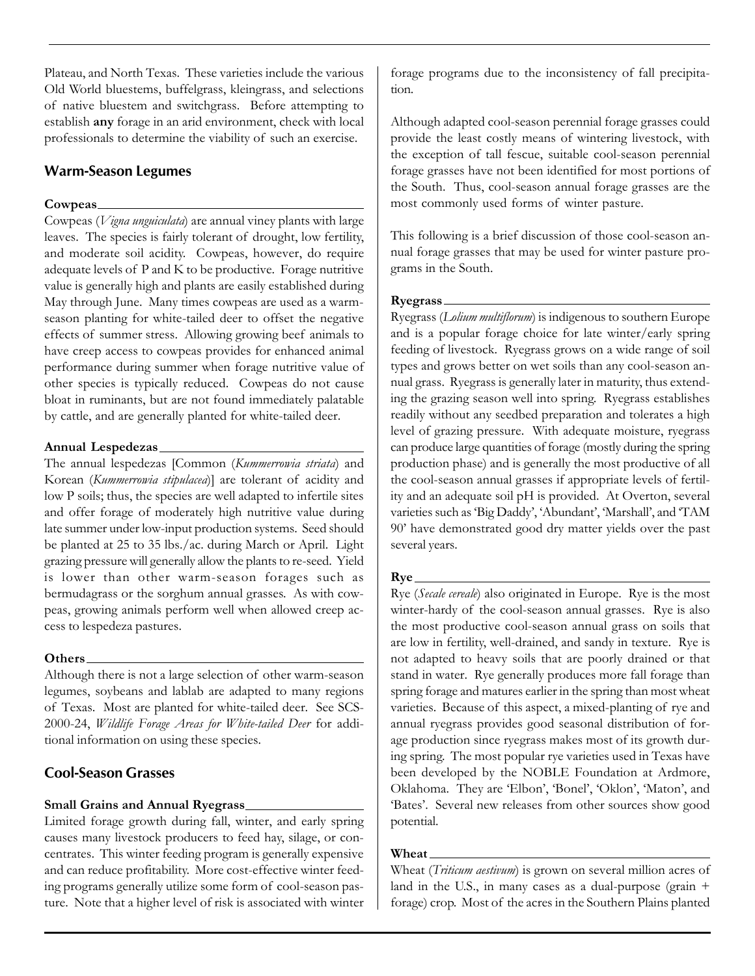Plateau, and North Texas. These varieties include the various Old World bluestems, buffelgrass, kleingrass, and selections of native bluestem and switchgrass. Before attempting to establish **any** forage in an arid environment, check with local professionals to determine the viability of such an exercise.

# **Warm-Season Legumes**

## **Cowpeas**

Cowpeas (*Vigna unguiculata*) are annual viney plants with large leaves. The species is fairly tolerant of drought, low fertility, and moderate soil acidity. Cowpeas, however, do require adequate levels of P and K to be productive. Forage nutritive value is generally high and plants are easily established during May through June. Many times cowpeas are used as a warmseason planting for white-tailed deer to offset the negative effects of summer stress. Allowing growing beef animals to have creep access to cowpeas provides for enhanced animal performance during summer when forage nutritive value of other species is typically reduced. Cowpeas do not cause bloat in ruminants, but are not found immediately palatable by cattle, and are generally planted for white-tailed deer.

## **Annual Lespedezas**

The annual lespedezas [Common (*Kummerrowia striata*) and Korean (*Kummerrowia stipulacea*)] are tolerant of acidity and low P soils; thus, the species are well adapted to infertile sites and offer forage of moderately high nutritive value during late summer under low-input production systems. Seed should be planted at 25 to 35 lbs./ac. during March or April. Light grazing pressure will generally allow the plants to re-seed. Yield is lower than other warm-season forages such as bermudagrass or the sorghum annual grasses. As with cowpeas, growing animals perform well when allowed creep access to lespedeza pastures.

## **Others**

Although there is not a large selection of other warm-season legumes, soybeans and lablab are adapted to many regions of Texas. Most are planted for white-tailed deer. See SCS-2000-24, *Wildlife Forage Areas for White-tailed Deer* for additional information on using these species.

# **Cool-Season Grasses**

## **Small Grains and Annual Ryegrass**

Limited forage growth during fall, winter, and early spring causes many livestock producers to feed hay, silage, or concentrates. This winter feeding program is generally expensive and can reduce profitability. More cost-effective winter feeding programs generally utilize some form of cool-season pasture. Note that a higher level of risk is associated with winter

forage programs due to the inconsistency of fall precipitation.

Although adapted cool-season perennial forage grasses could provide the least costly means of wintering livestock, with the exception of tall fescue, suitable cool-season perennial forage grasses have not been identified for most portions of the South. Thus, cool-season annual forage grasses are the most commonly used forms of winter pasture.

This following is a brief discussion of those cool-season annual forage grasses that may be used for winter pasture programs in the South.

## **Ryegrass**

Ryegrass (*Lolium multiflorum*) is indigenous to southern Europe and is a popular forage choice for late winter/early spring feeding of livestock. Ryegrass grows on a wide range of soil types and grows better on wet soils than any cool-season annual grass. Ryegrass is generally later in maturity, thus extending the grazing season well into spring. Ryegrass establishes readily without any seedbed preparation and tolerates a high level of grazing pressure. With adequate moisture, ryegrass can produce large quantities of forage (mostly during the spring production phase) and is generally the most productive of all the cool-season annual grasses if appropriate levels of fertility and an adequate soil pH is provided. At Overton, several varieties such as 'Big Daddy', 'Abundant', 'Marshall', and 'TAM 90' have demonstrated good dry matter yields over the past several years.

#### **Rye**

Rye (*Secale cereale*) also originated in Europe. Rye is the most winter-hardy of the cool-season annual grasses. Rye is also the most productive cool-season annual grass on soils that are low in fertility, well-drained, and sandy in texture. Rye is not adapted to heavy soils that are poorly drained or that stand in water. Rye generally produces more fall forage than spring forage and matures earlier in the spring than most wheat varieties. Because of this aspect, a mixed-planting of rye and annual ryegrass provides good seasonal distribution of forage production since ryegrass makes most of its growth during spring. The most popular rye varieties used in Texas have been developed by the NOBLE Foundation at Ardmore, Oklahoma. They are 'Elbon', 'Bonel', 'Oklon', 'Maton', and 'Bates'. Several new releases from other sources show good potential.

## **Wheat**

Wheat (*Triticum aestivum*) is grown on several million acres of land in the U.S., in many cases as a dual-purpose (grain + forage) crop. Most of the acres in the Southern Plains planted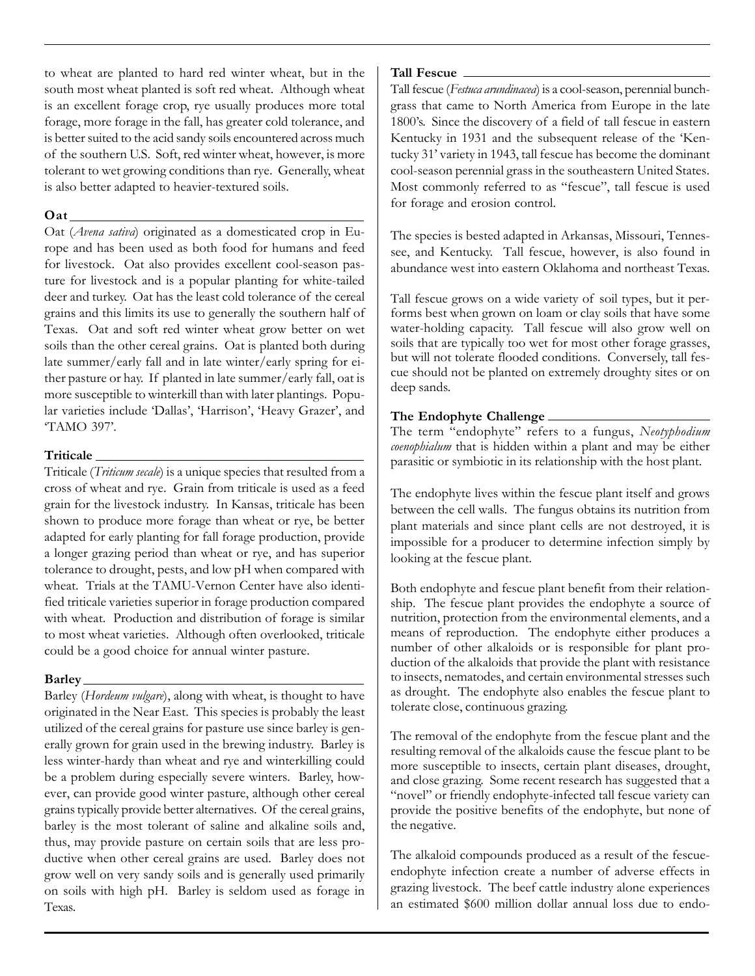to wheat are planted to hard red winter wheat, but in the south most wheat planted is soft red wheat. Although wheat is an excellent forage crop, rye usually produces more total forage, more forage in the fall, has greater cold tolerance, and is better suited to the acid sandy soils encountered across much of the southern U.S. Soft, red winter wheat, however, is more tolerant to wet growing conditions than rye. Generally, wheat is also better adapted to heavier-textured soils.

## **Oat**

Oat (*Avena sativa*) originated as a domesticated crop in Europe and has been used as both food for humans and feed for livestock. Oat also provides excellent cool-season pasture for livestock and is a popular planting for white-tailed deer and turkey. Oat has the least cold tolerance of the cereal grains and this limits its use to generally the southern half of Texas. Oat and soft red winter wheat grow better on wet soils than the other cereal grains. Oat is planted both during late summer/early fall and in late winter/early spring for either pasture or hay. If planted in late summer/early fall, oat is more susceptible to winterkill than with later plantings. Popular varieties include 'Dallas', 'Harrison', 'Heavy Grazer', and 'TAMO 397'.

## **Triticale**

Triticale (*Triticum secale*) is a unique species that resulted from a cross of wheat and rye. Grain from triticale is used as a feed grain for the livestock industry. In Kansas, triticale has been shown to produce more forage than wheat or rye, be better adapted for early planting for fall forage production, provide a longer grazing period than wheat or rye, and has superior tolerance to drought, pests, and low pH when compared with wheat. Trials at the TAMU-Vernon Center have also identified triticale varieties superior in forage production compared with wheat. Production and distribution of forage is similar to most wheat varieties. Although often overlooked, triticale could be a good choice for annual winter pasture.

## **Barley**

Barley (*Hordeum vulgare*), along with wheat, is thought to have originated in the Near East. This species is probably the least utilized of the cereal grains for pasture use since barley is generally grown for grain used in the brewing industry. Barley is less winter-hardy than wheat and rye and winterkilling could be a problem during especially severe winters. Barley, however, can provide good winter pasture, although other cereal grains typically provide better alternatives. Of the cereal grains, barley is the most tolerant of saline and alkaline soils and, thus, may provide pasture on certain soils that are less productive when other cereal grains are used. Barley does not grow well on very sandy soils and is generally used primarily on soils with high pH. Barley is seldom used as forage in Texas.

### **Tall Fescue**

Tall fescue (*Festuca arundinacea*) is a cool-season, perennial bunchgrass that came to North America from Europe in the late 1800's. Since the discovery of a field of tall fescue in eastern Kentucky in 1931 and the subsequent release of the 'Kentucky 31' variety in 1943, tall fescue has become the dominant cool-season perennial grass in the southeastern United States. Most commonly referred to as "fescue", tall fescue is used for forage and erosion control.

The species is bested adapted in Arkansas, Missouri, Tennessee, and Kentucky. Tall fescue, however, is also found in abundance west into eastern Oklahoma and northeast Texas.

Tall fescue grows on a wide variety of soil types, but it performs best when grown on loam or clay soils that have some water-holding capacity. Tall fescue will also grow well on soils that are typically too wet for most other forage grasses, but will not tolerate flooded conditions. Conversely, tall fescue should not be planted on extremely droughty sites or on deep sands.

# **The Endophyte Challenge**

The term "endophyte" refers to a fungus, *Neotyphodium coenophialum* that is hidden within a plant and may be either parasitic or symbiotic in its relationship with the host plant.

The endophyte lives within the fescue plant itself and grows between the cell walls. The fungus obtains its nutrition from plant materials and since plant cells are not destroyed, it is impossible for a producer to determine infection simply by looking at the fescue plant.

Both endophyte and fescue plant benefit from their relationship. The fescue plant provides the endophyte a source of nutrition, protection from the environmental elements, and a means of reproduction. The endophyte either produces a number of other alkaloids or is responsible for plant production of the alkaloids that provide the plant with resistance to insects, nematodes, and certain environmental stresses such as drought. The endophyte also enables the fescue plant to tolerate close, continuous grazing.

The removal of the endophyte from the fescue plant and the resulting removal of the alkaloids cause the fescue plant to be more susceptible to insects, certain plant diseases, drought, and close grazing. Some recent research has suggested that a "novel" or friendly endophyte-infected tall fescue variety can provide the positive benefits of the endophyte, but none of the negative.

The alkaloid compounds produced as a result of the fescueendophyte infection create a number of adverse effects in grazing livestock. The beef cattle industry alone experiences an estimated \$600 million dollar annual loss due to endo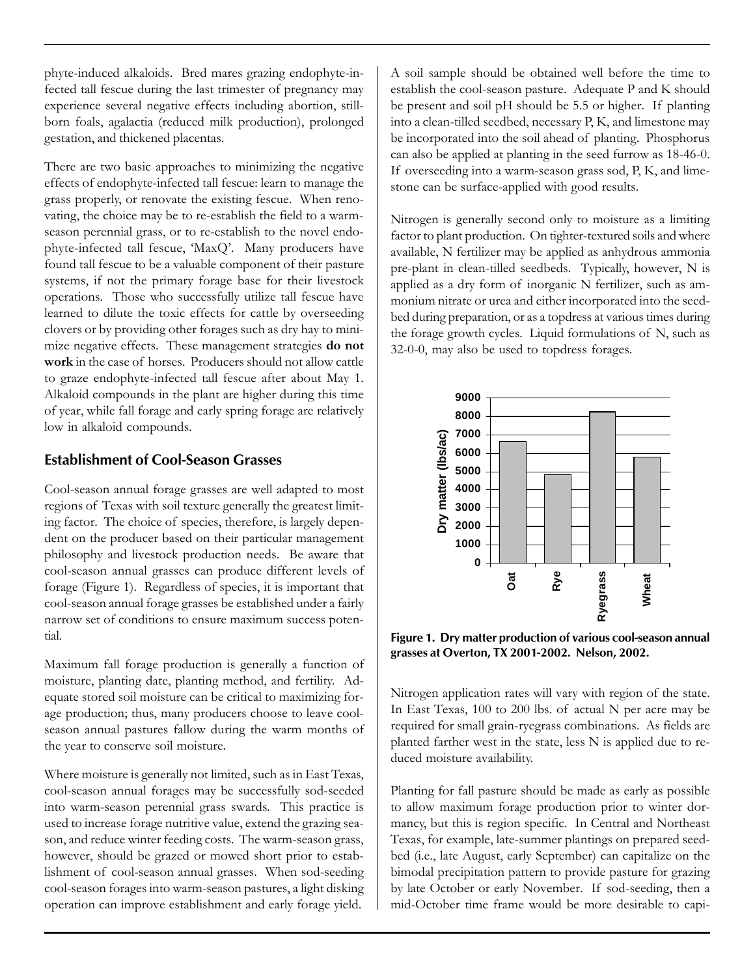phyte-induced alkaloids. Bred mares grazing endophyte-infected tall fescue during the last trimester of pregnancy may experience several negative effects including abortion, stillborn foals, agalactia (reduced milk production), prolonged gestation, and thickened placentas.

There are two basic approaches to minimizing the negative effects of endophyte-infected tall fescue: learn to manage the grass properly, or renovate the existing fescue. When renovating, the choice may be to re-establish the field to a warmseason perennial grass, or to re-establish to the novel endophyte-infected tall fescue, 'MaxQ'. Many producers have found tall fescue to be a valuable component of their pasture systems, if not the primary forage base for their livestock operations. Those who successfully utilize tall fescue have learned to dilute the toxic effects for cattle by overseeding clovers or by providing other forages such as dry hay to minimize negative effects. These management strategies **do not work** in the case of horses. Producers should not allow cattle to graze endophyte-infected tall fescue after about May 1. Alkaloid compounds in the plant are higher during this time of year, while fall forage and early spring forage are relatively low in alkaloid compounds.

# **Establishment of Cool-Season Grasses**

Cool-season annual forage grasses are well adapted to most regions of Texas with soil texture generally the greatest limiting factor. The choice of species, therefore, is largely dependent on the producer based on their particular management philosophy and livestock production needs. Be aware that cool-season annual grasses can produce different levels of forage (Figure 1). Regardless of species, it is important that cool-season annual forage grasses be established under a fairly narrow set of conditions to ensure maximum success potential.

Maximum fall forage production is generally a function of moisture, planting date, planting method, and fertility. Adequate stored soil moisture can be critical to maximizing forage production; thus, many producers choose to leave coolseason annual pastures fallow during the warm months of the year to conserve soil moisture.

Where moisture is generally not limited, such as in East Texas, cool-season annual forages may be successfully sod-seeded into warm-season perennial grass swards. This practice is used to increase forage nutritive value, extend the grazing season, and reduce winter feeding costs. The warm-season grass, however, should be grazed or mowed short prior to establishment of cool-season annual grasses. When sod-seeding cool-season forages into warm-season pastures, a light disking operation can improve establishment and early forage yield.

A soil sample should be obtained well before the time to establish the cool-season pasture. Adequate P and K should be present and soil pH should be 5.5 or higher. If planting into a clean-tilled seedbed, necessary P, K, and limestone may be incorporated into the soil ahead of planting. Phosphorus can also be applied at planting in the seed furrow as 18-46-0. If overseeding into a warm-season grass sod, P, K, and limestone can be surface-applied with good results.

Nitrogen is generally second only to moisture as a limiting factor to plant production. On tighter-textured soils and where available, N fertilizer may be applied as anhydrous ammonia pre-plant in clean-tilled seedbeds. Typically, however, N is applied as a dry form of inorganic N fertilizer, such as ammonium nitrate or urea and either incorporated into the seedbed during preparation, or as a topdress at various times during the forage growth cycles. Liquid formulations of N, such as 32-0-0, may also be used to topdress forages.



**Figure 1. Dry matter production of various cool-season annual grasses at Overton, TX 2001-2002. Nelson, 2002.**

Nitrogen application rates will vary with region of the state. In East Texas, 100 to 200 lbs. of actual N per acre may be required for small grain-ryegrass combinations. As fields are planted farther west in the state, less N is applied due to reduced moisture availability.

Planting for fall pasture should be made as early as possible to allow maximum forage production prior to winter dormancy, but this is region specific. In Central and Northeast Texas, for example, late-summer plantings on prepared seedbed (i.e., late August, early September) can capitalize on the bimodal precipitation pattern to provide pasture for grazing by late October or early November. If sod-seeding, then a mid-October time frame would be more desirable to capi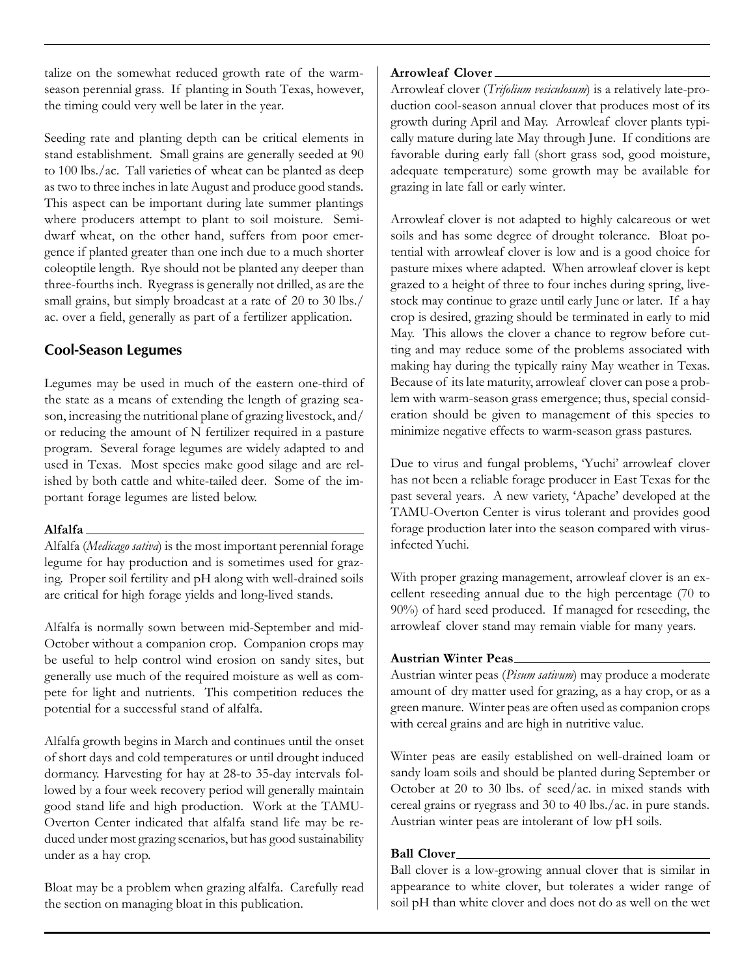talize on the somewhat reduced growth rate of the warmseason perennial grass. If planting in South Texas, however, the timing could very well be later in the year.

Seeding rate and planting depth can be critical elements in stand establishment. Small grains are generally seeded at 90 to 100 lbs./ac. Tall varieties of wheat can be planted as deep as two to three inches in late August and produce good stands. This aspect can be important during late summer plantings where producers attempt to plant to soil moisture. Semidwarf wheat, on the other hand, suffers from poor emergence if planted greater than one inch due to a much shorter coleoptile length. Rye should not be planted any deeper than three-fourths inch. Ryegrass is generally not drilled, as are the small grains, but simply broadcast at a rate of 20 to 30 lbs./ ac. over a field, generally as part of a fertilizer application.

# **Cool-Season Legumes**

Legumes may be used in much of the eastern one-third of the state as a means of extending the length of grazing season, increasing the nutritional plane of grazing livestock, and/ or reducing the amount of N fertilizer required in a pasture program. Several forage legumes are widely adapted to and used in Texas. Most species make good silage and are relished by both cattle and white-tailed deer. Some of the important forage legumes are listed below.

# **Alfalfa**

Alfalfa (*Medicago sativa*) is the most important perennial forage legume for hay production and is sometimes used for grazing. Proper soil fertility and pH along with well-drained soils are critical for high forage yields and long-lived stands.

Alfalfa is normally sown between mid-September and mid-October without a companion crop. Companion crops may be useful to help control wind erosion on sandy sites, but generally use much of the required moisture as well as compete for light and nutrients. This competition reduces the potential for a successful stand of alfalfa.

Alfalfa growth begins in March and continues until the onset of short days and cold temperatures or until drought induced dormancy. Harvesting for hay at 28-to 35-day intervals followed by a four week recovery period will generally maintain good stand life and high production. Work at the TAMU-Overton Center indicated that alfalfa stand life may be reduced under most grazing scenarios, but has good sustainability under as a hay crop.

Bloat may be a problem when grazing alfalfa. Carefully read the section on managing bloat in this publication.

## **Arrowleaf Clover**

Arrowleaf clover (*Trifolium vesiculosum*) is a relatively late-production cool-season annual clover that produces most of its growth during April and May. Arrowleaf clover plants typically mature during late May through June. If conditions are favorable during early fall (short grass sod, good moisture, adequate temperature) some growth may be available for grazing in late fall or early winter.

Arrowleaf clover is not adapted to highly calcareous or wet soils and has some degree of drought tolerance. Bloat potential with arrowleaf clover is low and is a good choice for pasture mixes where adapted. When arrowleaf clover is kept grazed to a height of three to four inches during spring, livestock may continue to graze until early June or later. If a hay crop is desired, grazing should be terminated in early to mid May. This allows the clover a chance to regrow before cutting and may reduce some of the problems associated with making hay during the typically rainy May weather in Texas. Because of its late maturity, arrowleaf clover can pose a problem with warm-season grass emergence; thus, special consideration should be given to management of this species to minimize negative effects to warm-season grass pastures.

Due to virus and fungal problems, 'Yuchi' arrowleaf clover has not been a reliable forage producer in East Texas for the past several years. A new variety, 'Apache' developed at the TAMU-Overton Center is virus tolerant and provides good forage production later into the season compared with virusinfected Yuchi.

With proper grazing management, arrowleaf clover is an excellent reseeding annual due to the high percentage (70 to 90%) of hard seed produced. If managed for reseeding, the arrowleaf clover stand may remain viable for many years.

# **Austrian Winter Peas**

Austrian winter peas (*Pisum sativum*) may produce a moderate amount of dry matter used for grazing, as a hay crop, or as a green manure. Winter peas are often used as companion crops with cereal grains and are high in nutritive value.

Winter peas are easily established on well-drained loam or sandy loam soils and should be planted during September or October at 20 to 30 lbs. of seed/ac. in mixed stands with cereal grains or ryegrass and 30 to 40 lbs./ac. in pure stands. Austrian winter peas are intolerant of low pH soils.

# **Ball Clover**

Ball clover is a low-growing annual clover that is similar in appearance to white clover, but tolerates a wider range of soil pH than white clover and does not do as well on the wet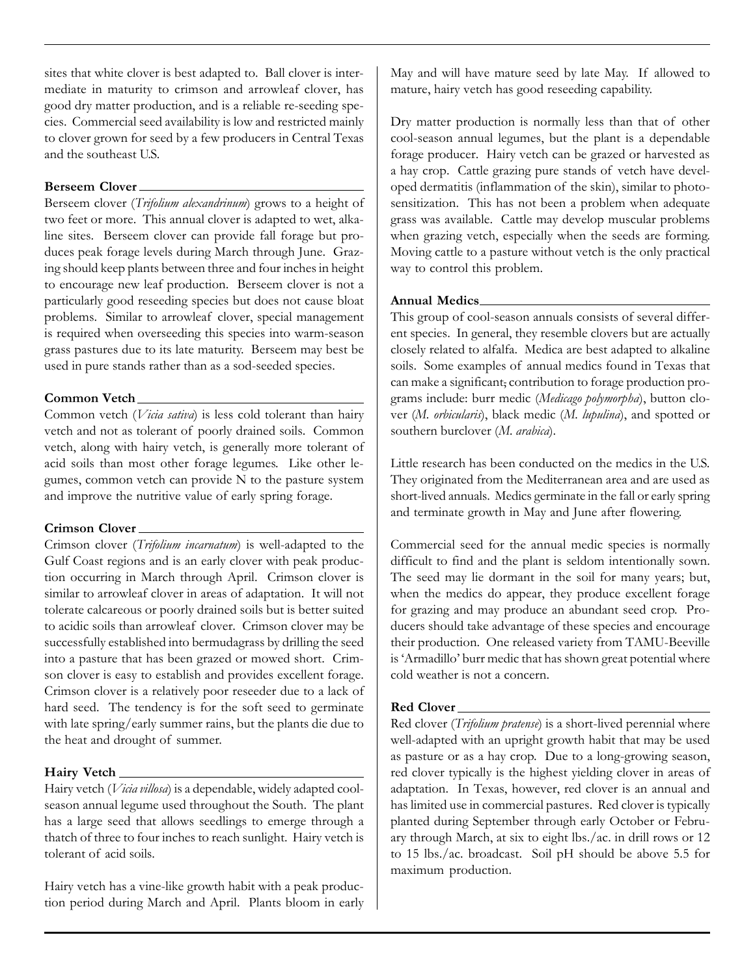sites that white clover is best adapted to. Ball clover is intermediate in maturity to crimson and arrowleaf clover, has good dry matter production, and is a reliable re-seeding species. Commercial seed availability is low and restricted mainly to clover grown for seed by a few producers in Central Texas and the southeast U.S.

### **Berseem Clover**

Berseem clover (*Trifolium alexandrinum*) grows to a height of two feet or more. This annual clover is adapted to wet, alkaline sites. Berseem clover can provide fall forage but produces peak forage levels during March through June. Grazing should keep plants between three and four inches in height to encourage new leaf production. Berseem clover is not a particularly good reseeding species but does not cause bloat problems. Similar to arrowleaf clover, special management is required when overseeding this species into warm-season grass pastures due to its late maturity. Berseem may best be used in pure stands rather than as a sod-seeded species.

#### **Common Vetch**

Common vetch (*Vicia sativa*) is less cold tolerant than hairy vetch and not as tolerant of poorly drained soils. Common vetch, along with hairy vetch, is generally more tolerant of acid soils than most other forage legumes. Like other legumes, common vetch can provide N to the pasture system and improve the nutritive value of early spring forage.

#### **Crimson Clover**

Crimson clover (*Trifolium incarnatum*) is well-adapted to the Gulf Coast regions and is an early clover with peak production occurring in March through April. Crimson clover is similar to arrowleaf clover in areas of adaptation. It will not tolerate calcareous or poorly drained soils but is better suited to acidic soils than arrowleaf clover. Crimson clover may be successfully established into bermudagrass by drilling the seed into a pasture that has been grazed or mowed short. Crimson clover is easy to establish and provides excellent forage. Crimson clover is a relatively poor reseeder due to a lack of hard seed. The tendency is for the soft seed to germinate with late spring/early summer rains, but the plants die due to the heat and drought of summer.

## **Hairy Vetch**

Hairy vetch (*Vicia villosa*) is a dependable, widely adapted coolseason annual legume used throughout the South. The plant has a large seed that allows seedlings to emerge through a thatch of three to four inches to reach sunlight. Hairy vetch is tolerant of acid soils.

Hairy vetch has a vine-like growth habit with a peak production period during March and April. Plants bloom in early

May and will have mature seed by late May. If allowed to mature, hairy vetch has good reseeding capability.

Dry matter production is normally less than that of other cool-season annual legumes, but the plant is a dependable forage producer. Hairy vetch can be grazed or harvested as a hay crop. Cattle grazing pure stands of vetch have developed dermatitis (inflammation of the skin), similar to photosensitization. This has not been a problem when adequate grass was available. Cattle may develop muscular problems when grazing vetch, especially when the seeds are forming. Moving cattle to a pasture without vetch is the only practical way to control this problem.

#### **Annual Medics**

This group of cool-season annuals consists of several different species. In general, they resemble clovers but are actually closely related to alfalfa. Medica are best adapted to alkaline soils. Some examples of annual medics found in Texas that can make a significant, contribution to forage production programs include: burr medic (*Medicago polymorpha*), button clover (*M. orbicularis*), black medic (*M. lupulina*), and spotted or southern burclover (*M. arabica*).

Little research has been conducted on the medics in the U.S. They originated from the Mediterranean area and are used as short-lived annuals. Medics germinate in the fall or early spring and terminate growth in May and June after flowering.

Commercial seed for the annual medic species is normally difficult to find and the plant is seldom intentionally sown. The seed may lie dormant in the soil for many years; but, when the medics do appear, they produce excellent forage for grazing and may produce an abundant seed crop. Producers should take advantage of these species and encourage their production. One released variety from TAMU-Beeville is 'Armadillo' burr medic that has shown great potential where cold weather is not a concern.

## **Red Clover**

Red clover (*Trifolium pratense*) is a short-lived perennial where well-adapted with an upright growth habit that may be used as pasture or as a hay crop. Due to a long-growing season, red clover typically is the highest yielding clover in areas of adaptation. In Texas, however, red clover is an annual and has limited use in commercial pastures. Red clover is typically planted during September through early October or February through March, at six to eight lbs./ac. in drill rows or 12 to 15 lbs./ac. broadcast. Soil pH should be above 5.5 for maximum production.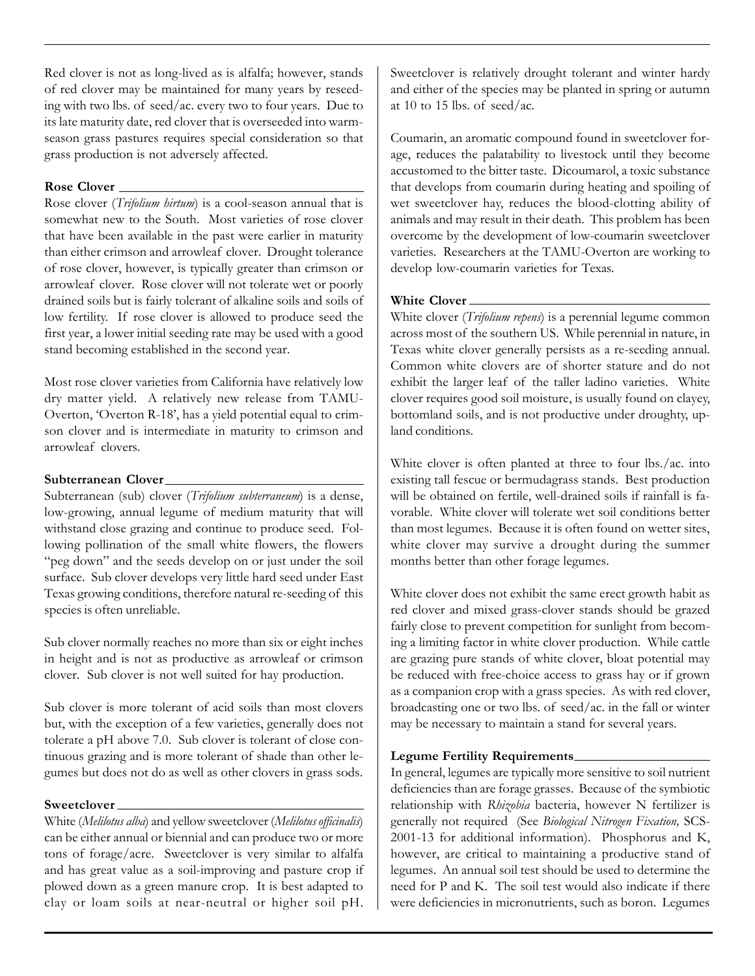Red clover is not as long-lived as is alfalfa; however, stands of red clover may be maintained for many years by reseeding with two lbs. of seed/ac. every two to four years. Due to its late maturity date, red clover that is overseeded into warmseason grass pastures requires special consideration so that grass production is not adversely affected.

#### **Rose Clover**

Rose clover (*Trifolium hirtum*) is a cool-season annual that is somewhat new to the South. Most varieties of rose clover that have been available in the past were earlier in maturity than either crimson and arrowleaf clover. Drought tolerance of rose clover, however, is typically greater than crimson or arrowleaf clover. Rose clover will not tolerate wet or poorly drained soils but is fairly tolerant of alkaline soils and soils of low fertility. If rose clover is allowed to produce seed the first year, a lower initial seeding rate may be used with a good stand becoming established in the second year.

Most rose clover varieties from California have relatively low dry matter yield. A relatively new release from TAMU-Overton, 'Overton R-18', has a yield potential equal to crimson clover and is intermediate in maturity to crimson and arrowleaf clovers.

#### **Subterranean Clover**

Subterranean (sub) clover (*Trifolium subterraneum*) is a dense, low-growing, annual legume of medium maturity that will withstand close grazing and continue to produce seed. Following pollination of the small white flowers, the flowers "peg down" and the seeds develop on or just under the soil surface. Sub clover develops very little hard seed under East Texas growing conditions, therefore natural re-seeding of this species is often unreliable.

Sub clover normally reaches no more than six or eight inches in height and is not as productive as arrowleaf or crimson clover. Sub clover is not well suited for hay production.

Sub clover is more tolerant of acid soils than most clovers but, with the exception of a few varieties, generally does not tolerate a pH above 7.0. Sub clover is tolerant of close continuous grazing and is more tolerant of shade than other legumes but does not do as well as other clovers in grass sods.

#### **Sweetclover**

White (*Melilotus alba*) and yellow sweetclover (*Melilotus officinalis*) can be either annual or biennial and can produce two or more tons of forage/acre. Sweetclover is very similar to alfalfa and has great value as a soil-improving and pasture crop if plowed down as a green manure crop. It is best adapted to clay or loam soils at near-neutral or higher soil pH. Sweetclover is relatively drought tolerant and winter hardy and either of the species may be planted in spring or autumn at 10 to 15 lbs. of seed/ac.

Coumarin, an aromatic compound found in sweetclover forage, reduces the palatability to livestock until they become accustomed to the bitter taste. Dicoumarol, a toxic substance that develops from coumarin during heating and spoiling of wet sweetclover hay, reduces the blood-clotting ability of animals and may result in their death. This problem has been overcome by the development of low-coumarin sweetclover varieties. Researchers at the TAMU-Overton are working to develop low-coumarin varieties for Texas.

#### **White Clover**

White clover (*Trifolium repens*) is a perennial legume common across most of the southern US. While perennial in nature, in Texas white clover generally persists as a re-seeding annual. Common white clovers are of shorter stature and do not exhibit the larger leaf of the taller ladino varieties. White clover requires good soil moisture, is usually found on clayey, bottomland soils, and is not productive under droughty, upland conditions.

White clover is often planted at three to four lbs./ac. into existing tall fescue or bermudagrass stands. Best production will be obtained on fertile, well-drained soils if rainfall is favorable. White clover will tolerate wet soil conditions better than most legumes. Because it is often found on wetter sites, white clover may survive a drought during the summer months better than other forage legumes.

White clover does not exhibit the same erect growth habit as red clover and mixed grass-clover stands should be grazed fairly close to prevent competition for sunlight from becoming a limiting factor in white clover production. While cattle are grazing pure stands of white clover, bloat potential may be reduced with free-choice access to grass hay or if grown as a companion crop with a grass species. As with red clover, broadcasting one or two lbs. of seed/ac. in the fall or winter may be necessary to maintain a stand for several years.

## **Legume Fertility Requirements**

In general, legumes are typically more sensitive to soil nutrient deficiencies than are forage grasses. Because of the symbiotic relationship with *Rhizobia* bacteria, however N fertilizer is generally not required (See *Biological Nitrogen Fixation,* SCS-2001-13 for additional information). Phosphorus and K, however, are critical to maintaining a productive stand of legumes. An annual soil test should be used to determine the need for P and K. The soil test would also indicate if there were deficiencies in micronutrients, such as boron. Legumes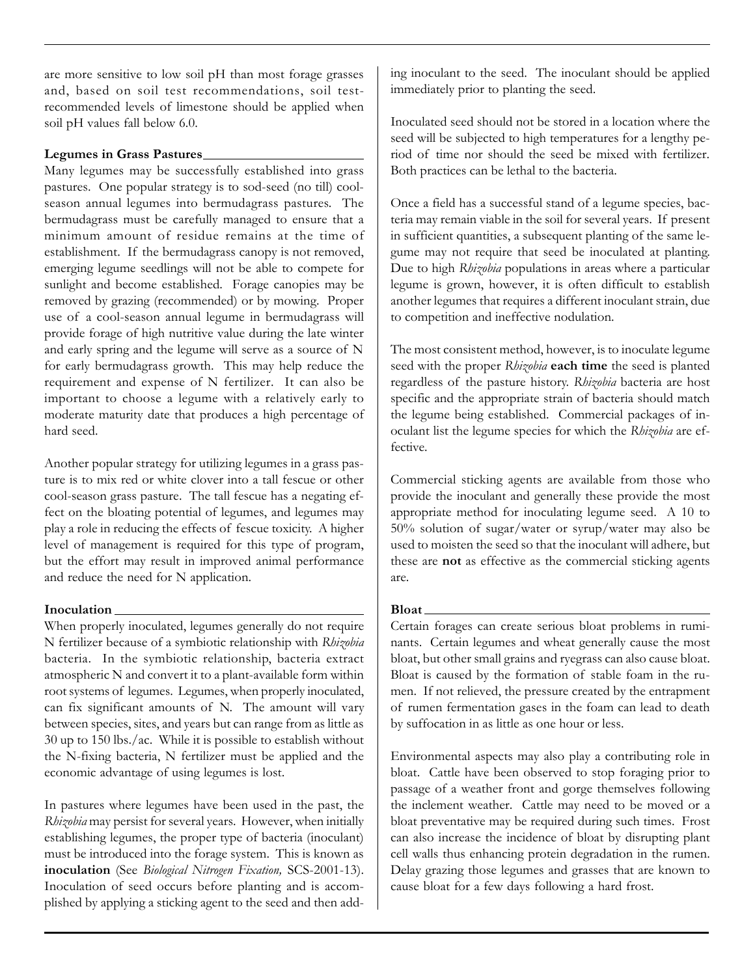are more sensitive to low soil pH than most forage grasses and, based on soil test recommendations, soil testrecommended levels of limestone should be applied when soil pH values fall below 6.0.

## **Legumes in Grass Pastures**

Many legumes may be successfully established into grass pastures. One popular strategy is to sod-seed (no till) coolseason annual legumes into bermudagrass pastures. The bermudagrass must be carefully managed to ensure that a minimum amount of residue remains at the time of establishment. If the bermudagrass canopy is not removed, emerging legume seedlings will not be able to compete for sunlight and become established. Forage canopies may be removed by grazing (recommended) or by mowing. Proper use of a cool-season annual legume in bermudagrass will provide forage of high nutritive value during the late winter and early spring and the legume will serve as a source of N for early bermudagrass growth. This may help reduce the requirement and expense of N fertilizer. It can also be important to choose a legume with a relatively early to moderate maturity date that produces a high percentage of hard seed.

Another popular strategy for utilizing legumes in a grass pasture is to mix red or white clover into a tall fescue or other cool-season grass pasture. The tall fescue has a negating effect on the bloating potential of legumes, and legumes may play a role in reducing the effects of fescue toxicity. A higher level of management is required for this type of program, but the effort may result in improved animal performance and reduce the need for N application.

## **Inoculation**

When properly inoculated, legumes generally do not require N fertilizer because of a symbiotic relationship with *Rhizobia* bacteria. In the symbiotic relationship, bacteria extract atmospheric N and convert it to a plant-available form within root systems of legumes. Legumes, when properly inoculated, can fix significant amounts of N. The amount will vary between species, sites, and years but can range from as little as 30 up to 150 lbs./ac. While it is possible to establish without the N-fixing bacteria, N fertilizer must be applied and the economic advantage of using legumes is lost.

In pastures where legumes have been used in the past, the *Rhizobia* may persist for several years. However, when initially establishing legumes, the proper type of bacteria (inoculant) must be introduced into the forage system. This is known as **inoculation** (See *Biological Nitrogen Fixation,* SCS-2001-13). Inoculation of seed occurs before planting and is accomplished by applying a sticking agent to the seed and then adding inoculant to the seed. The inoculant should be applied immediately prior to planting the seed.

Inoculated seed should not be stored in a location where the seed will be subjected to high temperatures for a lengthy period of time nor should the seed be mixed with fertilizer. Both practices can be lethal to the bacteria.

Once a field has a successful stand of a legume species, bacteria may remain viable in the soil for several years. If present in sufficient quantities, a subsequent planting of the same legume may not require that seed be inoculated at planting. Due to high *Rhizobia* populations in areas where a particular legume is grown, however, it is often difficult to establish another legumes that requires a different inoculant strain, due to competition and ineffective nodulation.

The most consistent method, however, is to inoculate legume seed with the proper *Rhizobia* **each time** the seed is planted regardless of the pasture history. *Rhizobia* bacteria are host specific and the appropriate strain of bacteria should match the legume being established. Commercial packages of inoculant list the legume species for which the *Rhizobia* are effective.

Commercial sticking agents are available from those who provide the inoculant and generally these provide the most appropriate method for inoculating legume seed. A 10 to 50% solution of sugar/water or syrup/water may also be used to moisten the seed so that the inoculant will adhere, but these are **not** as effective as the commercial sticking agents are.

# **Bloat**

Certain forages can create serious bloat problems in ruminants. Certain legumes and wheat generally cause the most bloat, but other small grains and ryegrass can also cause bloat. Bloat is caused by the formation of stable foam in the rumen. If not relieved, the pressure created by the entrapment of rumen fermentation gases in the foam can lead to death by suffocation in as little as one hour or less.

Environmental aspects may also play a contributing role in bloat. Cattle have been observed to stop foraging prior to passage of a weather front and gorge themselves following the inclement weather. Cattle may need to be moved or a bloat preventative may be required during such times. Frost can also increase the incidence of bloat by disrupting plant cell walls thus enhancing protein degradation in the rumen. Delay grazing those legumes and grasses that are known to cause bloat for a few days following a hard frost.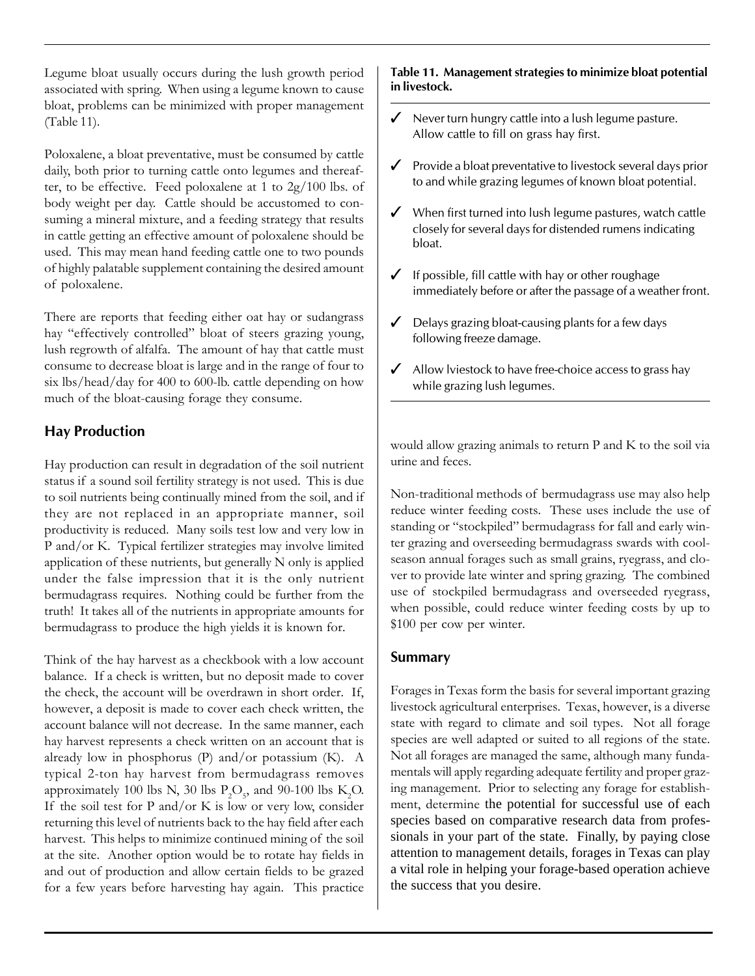Legume bloat usually occurs during the lush growth period associated with spring. When using a legume known to cause bloat, problems can be minimized with proper management (Table 11).

Poloxalene, a bloat preventative, must be consumed by cattle daily, both prior to turning cattle onto legumes and thereafter, to be effective. Feed poloxalene at 1 to 2g/100 lbs. of body weight per day. Cattle should be accustomed to consuming a mineral mixture, and a feeding strategy that results in cattle getting an effective amount of poloxalene should be used. This may mean hand feeding cattle one to two pounds of highly palatable supplement containing the desired amount of poloxalene.

There are reports that feeding either oat hay or sudangrass hay "effectively controlled" bloat of steers grazing young, lush regrowth of alfalfa. The amount of hay that cattle must consume to decrease bloat is large and in the range of four to six lbs/head/day for 400 to 600-lb. cattle depending on how much of the bloat-causing forage they consume.

# **Hay Production**

Hay production can result in degradation of the soil nutrient status if a sound soil fertility strategy is not used. This is due to soil nutrients being continually mined from the soil, and if they are not replaced in an appropriate manner, soil productivity is reduced. Many soils test low and very low in P and/or K. Typical fertilizer strategies may involve limited application of these nutrients, but generally N only is applied under the false impression that it is the only nutrient bermudagrass requires. Nothing could be further from the truth! It takes all of the nutrients in appropriate amounts for bermudagrass to produce the high yields it is known for.

Think of the hay harvest as a checkbook with a low account balance. If a check is written, but no deposit made to cover the check, the account will be overdrawn in short order. If, however, a deposit is made to cover each check written, the account balance will not decrease. In the same manner, each hay harvest represents a check written on an account that is already low in phosphorus (P) and/or potassium (K). A typical 2-ton hay harvest from bermudagrass removes approximately 100 lbs N, 30 lbs  $P_2O_5$ , and 90-100 lbs K<sub>2</sub>O. If the soil test for P and/or K is low or very low, consider returning this level of nutrients back to the hay field after each harvest. This helps to minimize continued mining of the soil at the site. Another option would be to rotate hay fields in and out of production and allow certain fields to be grazed for a few years before harvesting hay again. This practice

#### **Table 11. Management strategies to minimize bloat potential in livestock.**

- $\checkmark$  Never turn hungry cattle into a lush legume pasture. Allow cattle to fill on grass hay first.
- $\checkmark$  Provide a bloat preventative to livestock several days prior to and while grazing legumes of known bloat potential.
- $\checkmark$  When first turned into lush legume pastures, watch cattle closely for several days for distended rumens indicating bloat.
- $\checkmark$  If possible, fill cattle with hay or other roughage immediately before or after the passage of a weather front.
- $\angle$  Delays grazing bloat-causing plants for a few days following freeze damage.
- $\angle$  Allow lviestock to have free-choice access to grass hay while grazing lush legumes.

would allow grazing animals to return P and K to the soil via urine and feces.

Non-traditional methods of bermudagrass use may also help reduce winter feeding costs. These uses include the use of standing or "stockpiled" bermudagrass for fall and early winter grazing and overseeding bermudagrass swards with coolseason annual forages such as small grains, ryegrass, and clover to provide late winter and spring grazing. The combined use of stockpiled bermudagrass and overseeded ryegrass, when possible, could reduce winter feeding costs by up to \$100 per cow per winter.

# **Summary**

Forages in Texas form the basis for several important grazing livestock agricultural enterprises. Texas, however, is a diverse state with regard to climate and soil types. Not all forage species are well adapted or suited to all regions of the state. Not all forages are managed the same, although many fundamentals will apply regarding adequate fertility and proper grazing management. Prior to selecting any forage for establishment, determine the potential for successful use of each species based on comparative research data from professionals in your part of the state. Finally, by paying close attention to management details, forages in Texas can play a vital role in helping your forage-based operation achieve the success that you desire.